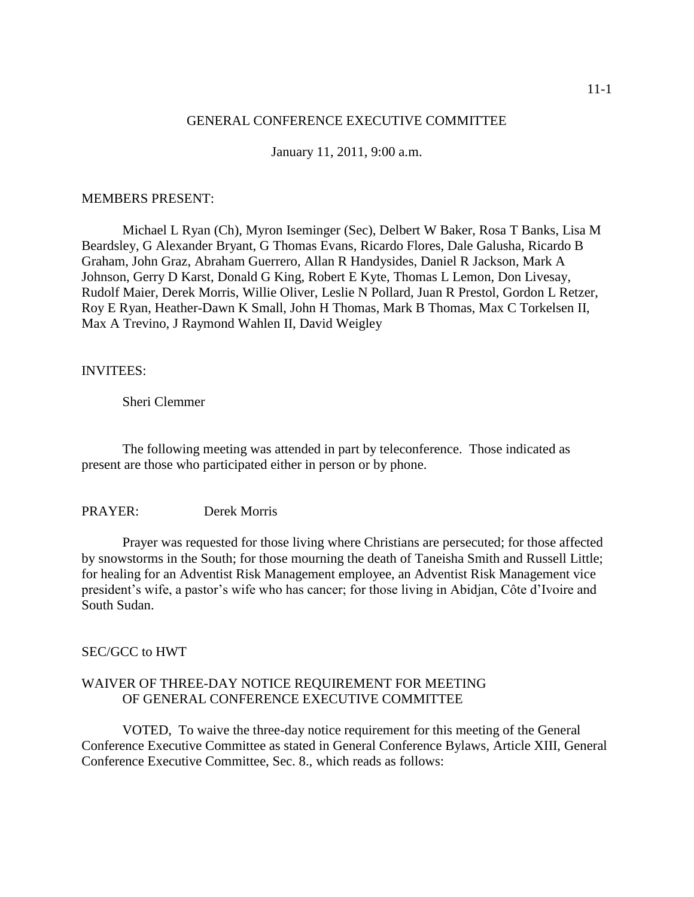#### GENERAL CONFERENCE EXECUTIVE COMMITTEE

January 11, 2011, 9:00 a.m.

#### MEMBERS PRESENT:

Michael L Ryan (Ch), Myron Iseminger (Sec), Delbert W Baker, Rosa T Banks, Lisa M Beardsley, G Alexander Bryant, G Thomas Evans, Ricardo Flores, Dale Galusha, Ricardo B Graham, John Graz, Abraham Guerrero, Allan R Handysides, Daniel R Jackson, Mark A Johnson, Gerry D Karst, Donald G King, Robert E Kyte, Thomas L Lemon, Don Livesay, Rudolf Maier, Derek Morris, Willie Oliver, Leslie N Pollard, Juan R Prestol, Gordon L Retzer, Roy E Ryan, Heather-Dawn K Small, John H Thomas, Mark B Thomas, Max C Torkelsen II, Max A Trevino, J Raymond Wahlen II, David Weigley

#### INVITEES:

Sheri Clemmer

The following meeting was attended in part by teleconference. Those indicated as present are those who participated either in person or by phone.

### PRAYER: Derek Morris

Prayer was requested for those living where Christians are persecuted; for those affected by snowstorms in the South; for those mourning the death of Taneisha Smith and Russell Little; for healing for an Adventist Risk Management employee, an Adventist Risk Management vice president's wife, a pastor's wife who has cancer; for those living in Abidjan, Côte d'Ivoire and South Sudan.

#### SEC/GCC to HWT

### WAIVER OF THREE-DAY NOTICE REQUIREMENT FOR MEETING OF GENERAL CONFERENCE EXECUTIVE COMMITTEE

VOTED, To waive the three-day notice requirement for this meeting of the General Conference Executive Committee as stated in General Conference Bylaws, Article XIII, General Conference Executive Committee, Sec. 8., which reads as follows: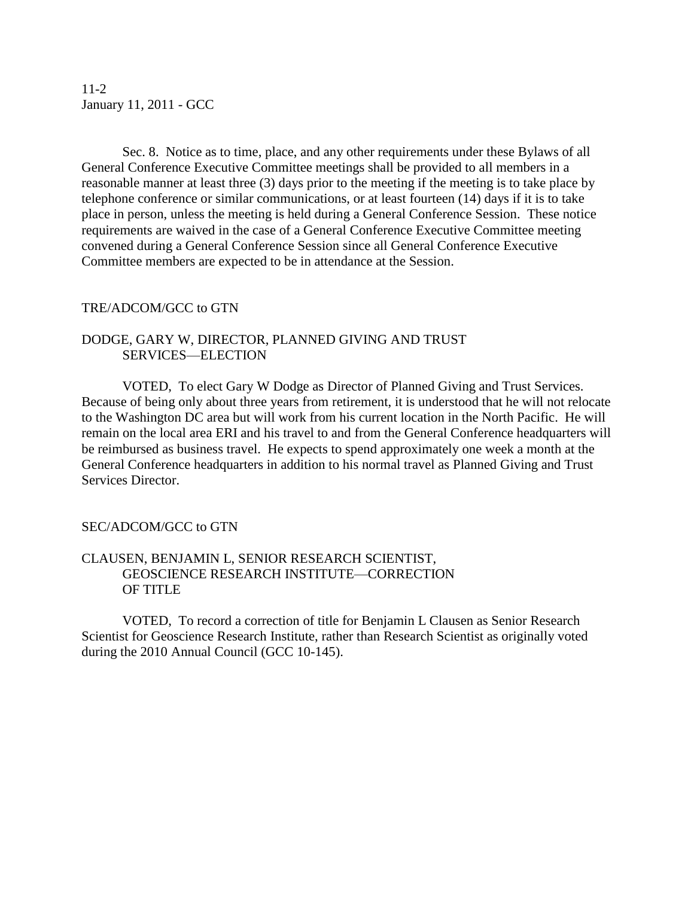11-2 January 11, 2011 - GCC

Sec. 8. Notice as to time, place, and any other requirements under these Bylaws of all General Conference Executive Committee meetings shall be provided to all members in a reasonable manner at least three (3) days prior to the meeting if the meeting is to take place by telephone conference or similar communications, or at least fourteen (14) days if it is to take place in person, unless the meeting is held during a General Conference Session. These notice requirements are waived in the case of a General Conference Executive Committee meeting convened during a General Conference Session since all General Conference Executive Committee members are expected to be in attendance at the Session.

### TRE/ADCOM/GCC to GTN

## DODGE, GARY W, DIRECTOR, PLANNED GIVING AND TRUST SERVICES—ELECTION

VOTED, To elect Gary W Dodge as Director of Planned Giving and Trust Services. Because of being only about three years from retirement, it is understood that he will not relocate to the Washington DC area but will work from his current location in the North Pacific. He will remain on the local area ERI and his travel to and from the General Conference headquarters will be reimbursed as business travel. He expects to spend approximately one week a month at the General Conference headquarters in addition to his normal travel as Planned Giving and Trust Services Director.

# SEC/ADCOM/GCC to GTN

## CLAUSEN, BENJAMIN L, SENIOR RESEARCH SCIENTIST, GEOSCIENCE RESEARCH INSTITUTE—CORRECTION OF TITLE

VOTED, To record a correction of title for Benjamin L Clausen as Senior Research Scientist for Geoscience Research Institute, rather than Research Scientist as originally voted during the 2010 Annual Council (GCC 10-145).